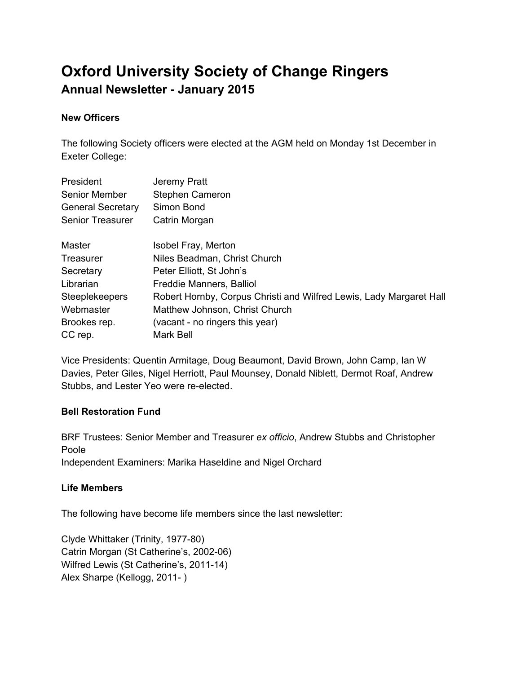# **Oxford University Society of Change Ringers Annual Newsletter January 2015**

## **New Officers**

The following Society officers were elected at the AGM held on Monday 1st December in Exeter College:

| President                | Jeremy Pratt                                                        |
|--------------------------|---------------------------------------------------------------------|
| <b>Senior Member</b>     | Stephen Cameron                                                     |
| <b>General Secretary</b> | Simon Bond                                                          |
| <b>Senior Treasurer</b>  | Catrin Morgan                                                       |
| Master                   | Isobel Fray, Merton                                                 |
| Treasurer                | Niles Beadman, Christ Church                                        |
| Secretary                | Peter Elliott, St John's                                            |
| Librarian                | Freddie Manners, Balliol                                            |
| <b>Steeplekeepers</b>    | Robert Hornby, Corpus Christi and Wilfred Lewis, Lady Margaret Hall |
| Webmaster                | Matthew Johnson, Christ Church                                      |
| Brookes rep.             | (vacant - no ringers this year)                                     |
| CC rep.                  | <b>Mark Bell</b>                                                    |

Vice Presidents: Quentin Armitage, Doug Beaumont, David Brown, John Camp, Ian W Davies, Peter Giles, Nigel Herriott, Paul Mounsey, Donald Niblett, Dermot Roaf, Andrew Stubbs, and Lester Yeo were re-elected.

#### **Bell Restoration Fund**

BRF Trustees: Senior Member and Treasurer *ex officio*, Andrew Stubbs and Christopher Poole Independent Examiners: Marika Haseldine and Nigel Orchard

## **Life Members**

The following have become life members since the last newsletter:

Clyde Whittaker (Trinity, 1977-80) Catrin Morgan (St Catherine's, 2002-06) Wilfred Lewis (St Catherine's, 2011-14) Alex Sharpe (Kellogg, 2011-)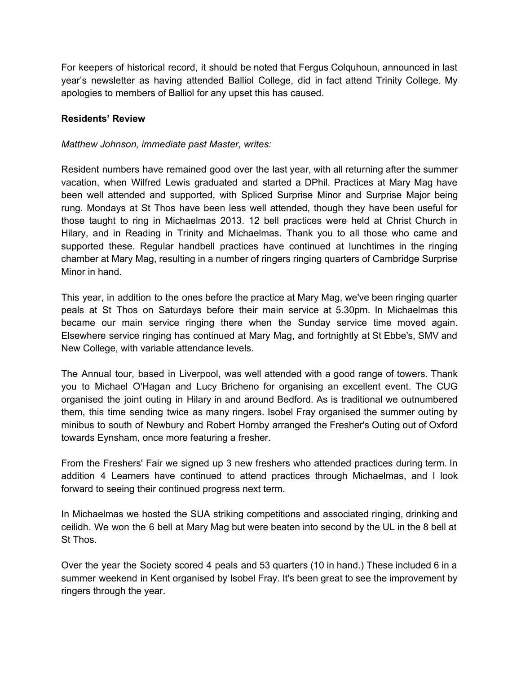For keepers of historical record, it should be noted that Fergus Colquhoun, announced in last year's newsletter as having attended Balliol College, did in fact attend Trinity College. My apologies to members of Balliol for any upset this has caused.

## **Residents' Review**

## *Matthew Johnson, immediate past Master, writes:*

Resident numbers have remained good over the last year, with all returning after the summer vacation, when Wilfred Lewis graduated and started a DPhil. Practices at Mary Mag have been well attended and supported, with Spliced Surprise Minor and Surprise Major being rung. Mondays at St Thos have been less well attended, though they have been useful for those taught to ring in Michaelmas 2013. 12 bell practices were held at Christ Church in Hilary, and in Reading in Trinity and Michaelmas. Thank you to all those who came and supported these. Regular handbell practices have continued at lunchtimes in the ringing chamber at Mary Mag, resulting in a number of ringers ringing quarters of Cambridge Surprise Minor in hand.

This year, in addition to the ones before the practice at Mary Mag, we've been ringing quarter peals at St Thos on Saturdays before their main service at 5.30pm. In Michaelmas this became our main service ringing there when the Sunday service time moved again. Elsewhere service ringing has continued at Mary Mag, and fortnightly at St Ebbe's, SMV and New College, with variable attendance levels.

The Annual tour, based in Liverpool, was well attended with a good range of towers. Thank you to Michael O'Hagan and Lucy Bricheno for organising an excellent event. The CUG organised the joint outing in Hilary in and around Bedford. As is traditional we outnumbered them, this time sending twice as many ringers. Isobel Fray organised the summer outing by minibus to south of Newbury and Robert Hornby arranged the Fresher's Outing out of Oxford towards Eynsham, once more featuring a fresher.

From the Freshers' Fair we signed up 3 new freshers who attended practices during term. In addition 4 Learners have continued to attend practices through Michaelmas, and I look forward to seeing their continued progress next term.

In Michaelmas we hosted the SUA striking competitions and associated ringing, drinking and ceilidh. We won the 6 bell at Mary Mag but were beaten into second by the UL in the 8 bell at St Thos.

Over the year the Society scored 4 peals and 53 quarters (10 in hand.) These included 6 in a summer weekend in Kent organised by Isobel Fray. It's been great to see the improvement by ringers through the year.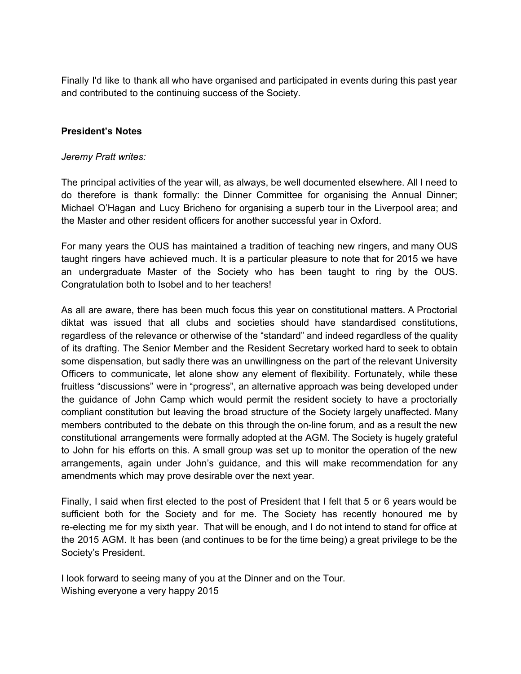Finally I'd like to thank all who have organised and participated in events during this past year and contributed to the continuing success of the Society.

## **President's Notes**

#### *Jeremy Pratt writes:*

The principal activities of the year will, as always, be well documented elsewhere. All I need to do therefore is thank formally: the Dinner Committee for organising the Annual Dinner; Michael O'Hagan and Lucy Bricheno for organising a superb tour in the Liverpool area; and the Master and other resident officers for another successful year in Oxford.

For many years the OUS has maintained a tradition of teaching new ringers, and many OUS taught ringers have achieved much. It is a particular pleasure to note that for 2015 we have an undergraduate Master of the Society who has been taught to ring by the OUS. Congratulation both to Isobel and to her teachers!

As all are aware, there has been much focus this year on constitutional matters. A Proctorial diktat was issued that all clubs and societies should have standardised constitutions, regardless of the relevance or otherwise of the "standard" and indeed regardless of the quality of its drafting. The Senior Member and the Resident Secretary worked hard to seek to obtain some dispensation, but sadly there was an unwillingness on the part of the relevant University Officers to communicate, let alone show any element of flexibility. Fortunately, while these fruitless "discussions" were in "progress", an alternative approach was being developed under the guidance of John Camp which would permit the resident society to have a proctorially compliant constitution but leaving the broad structure of the Society largely unaffected. Many members contributed to the debate on this through the on-line forum, and as a result the new constitutional arrangements were formally adopted at the AGM. The Society is hugely grateful to John for his efforts on this. A small group was set up to monitor the operation of the new arrangements, again under John's guidance, and this will make recommendation for any amendments which may prove desirable over the next year.

Finally, I said when first elected to the post of President that I felt that 5 or 6 years would be sufficient both for the Society and for me. The Society has recently honoured me by re-electing me for my sixth year. That will be enough, and I do not intend to stand for office at the 2015 AGM. It has been (and continues to be for the time being) a great privilege to be the Society's President.

I look forward to seeing many of you at the Dinner and on the Tour. Wishing everyone a very happy 2015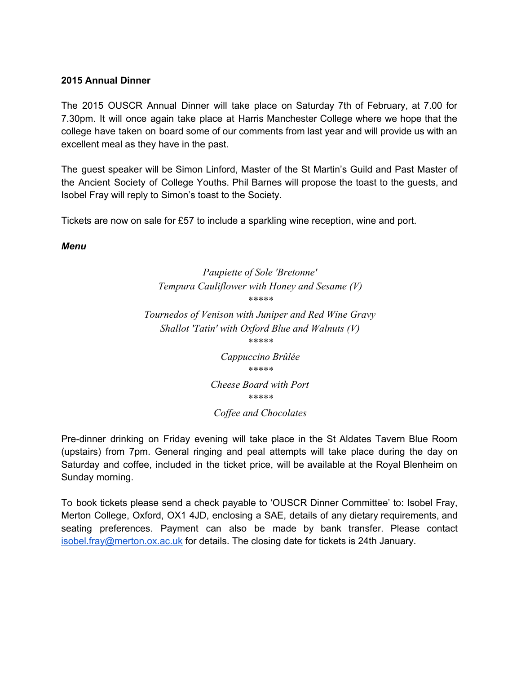#### **2015 Annual Dinner**

The 2015 OUSCR Annual Dinner will take place on Saturday 7th of February, at 7.00 for 7.30pm. It will once again take place at Harris Manchester College where we hope that the college have taken on board some of our comments from last year and will provide us with an excellent meal as they have in the past.

The guest speaker will be Simon Linford, Master of the St Martin's Guild and Past Master of the Ancient Society of College Youths. Phil Barnes will propose the toast to the guests, and Isobel Fray will reply to Simon's toast to the Society.

Tickets are now on sale for £57 to include a sparkling wine reception, wine and port.

*Menu*

*Paupiette of Sole 'Bretonne' Tempura Cauliflower with Honey and Sesame (V) \*\*\*\*\**

*Tournedos of Venison with Juniper and Red Wine Gravy Shallot 'Tatin' with Oxford Blue and Walnuts (V) \*\*\*\*\**

*Cappuccino Brûlée \*\*\*\*\* Cheese Board with Port \*\*\*\*\**

#### *Cof ee and Chocolates*

Pre-dinner drinking on Friday evening will take place in the St Aldates Tavern Blue Room (upstairs) from 7pm. General ringing and peal attempts will take place during the day on Saturday and coffee, included in the ticket price, will be available at the Royal Blenheim on Sunday morning.

To book tickets please send a check payable to 'OUSCR Dinner Committee' to: Isobel Fray, Merton College, Oxford, OX1 4JD, enclosing a SAE, details of any dietary requirements, and seating preferences. Payment can also be made by bank transfer. Please contact [isobel.fray@merton.ox.ac.uk](mailto:isobel.fray@merton.ox.ac.uk) for details. The closing date for tickets is 24th January.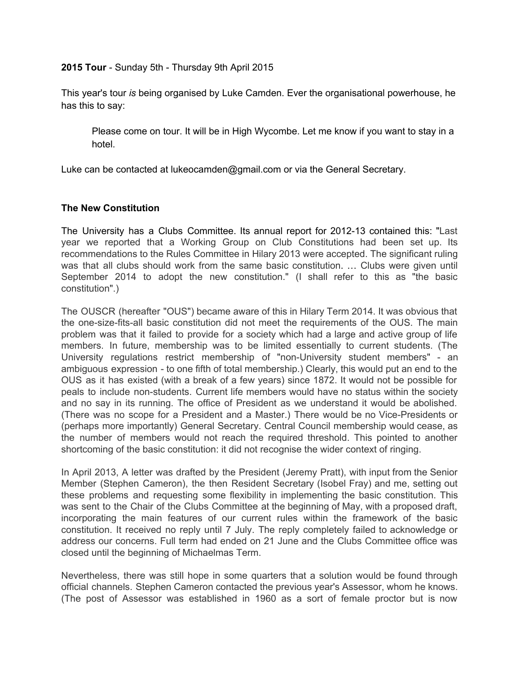**2015 Tour** Sunday 5th Thursday 9th April 2015

This year's tour *is* being organised by Luke Camden. Ever the organisational powerhouse, he has this to say:

Please come on tour. It will be in High Wycombe. Let me know if you want to stay in a hotel.

Luke can be contacted at lukeocamden@gmail.com or via the General Secretary.

#### **The New Constitution**

The University has a Clubs Committee. Its annual report for 2012-13 contained this: "Last year we reported that a Working Group on Club Constitutions had been set up. Its recommendations to the Rules Committee in Hilary 2013 were accepted. The significant ruling was that all clubs should work from the same basic constitution. … Clubs were given until September 2014 to adopt the new constitution." (I shall refer to this as "the basic constitution".)

The OUSCR (hereafter "OUS") became aware of this in Hilary Term 2014. It was obvious that the one-size-fits-all basic constitution did not meet the requirements of the OUS. The main problem was that it failed to provide for a society which had a large and active group of life members. In future, membership was to be limited essentially to current students. (The University regulations restrict membership of "non-University student members" - an ambiguous expression - to one fifth of total membership.) Clearly, this would put an end to the OUS as it has existed (with a break of a few years) since 1872. It would not be possible for peals to include non-students. Current life members would have no status within the society and no say in its running. The office of President as we understand it would be abolished. (There was no scope for a President and a Master.) There would be no Vice-Presidents or (perhaps more importantly) General Secretary. Central Council membership would cease, as the number of members would not reach the required threshold. This pointed to another shortcoming of the basic constitution: it did not recognise the wider context of ringing.

In April 2013, A letter was drafted by the President (Jeremy Pratt), with input from the Senior Member (Stephen Cameron), the then Resident Secretary (Isobel Fray) and me, setting out these problems and requesting some flexibility in implementing the basic constitution. This was sent to the Chair of the Clubs Committee at the beginning of May, with a proposed draft, incorporating the main features of our current rules within the framework of the basic constitution. It received no reply until 7 July. The reply completely failed to acknowledge or address our concerns. Full term had ended on 21 June and the Clubs Committee office was closed until the beginning of Michaelmas Term.

Nevertheless, there was still hope in some quarters that a solution would be found through official channels. Stephen Cameron contacted the previous year's Assessor, whom he knows. (The post of Assessor was established in 1960 as a sort of female proctor but is now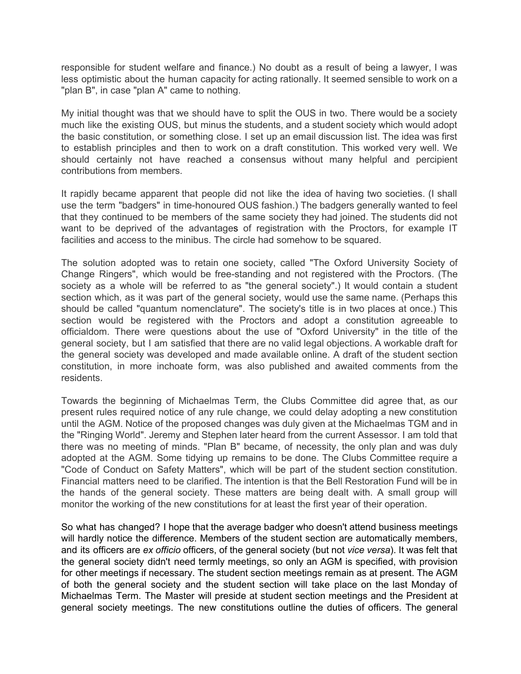responsible for student welfare and finance.) No doubt as a result of being a lawyer, I was less optimistic about the human capacity for acting rationally. It seemed sensible to work on a "plan B", in case "plan A" came to nothing.

My initial thought was that we should have to split the OUS in two. There would be a society much like the existing OUS, but minus the students, and a student society which would adopt the basic constitution, or something close. I set up an email discussion list. The idea was first to establish principles and then to work on a draft constitution. This worked very well. We should certainly not have reached a consensus without many helpful and percipient contributions from members.

It rapidly became apparent that people did not like the idea of having two societies. (I shall use the term "badgers" in time-honoured OUS fashion.) The badgers generally wanted to feel that they continued to be members of the same society they had joined. The students did not want to be deprived of the advantages of registration with the Proctors, for example IT facilities and access to the minibus. The circle had somehow to be squared.

The solution adopted was to retain one society, called "The Oxford University Society of Change Ringers", which would be free-standing and not registered with the Proctors. (The society as a whole will be referred to as "the general society".) It would contain a student section which, as it was part of the general society, would use the same name. (Perhaps this should be called "quantum nomenclature". The society's title is in two places at once.) This section would be registered with the Proctors and adopt a constitution agreeable to officialdom. There were questions about the use of "Oxford University" in the title of the general society, but I am satisfied that there are no valid legal objections. A workable draft for the general society was developed and made available online. A draft of the student section constitution, in more inchoate form, was also published and awaited comments from the residents.

Towards the beginning of Michaelmas Term, the Clubs Committee did agree that, as our present rules required notice of any rule change, we could delay adopting a new constitution until the AGM. Notice of the proposed changes was duly given at the Michaelmas TGM and in the "Ringing World". Jeremy and Stephen later heard from the current Assessor. I am told that there was no meeting of minds. "Plan B" became, of necessity, the only plan and was duly adopted at the AGM. Some tidying up remains to be done. The Clubs Committee require a "Code of Conduct on Safety Matters", which will be part of the student section constitution. Financial matters need to be clarified. The intention is that the Bell Restoration Fund will be in the hands of the general society. These matters are being dealt with. A small group will monitor the working of the new constitutions for at least the first year of their operation.

So what has changed? I hope that the average badger who doesn't attend business meetings will hardly notice the difference. Members of the student section are automatically members, and its officers are *ex officio* officers, of the general society (but not *vice versa*). It was felt that the general society didn't need termly meetings, so only an AGM is specified, with provision for other meetings if necessary. The student section meetings remain as at present. The AGM of both the general society and the student section will take place on the last Monday of Michaelmas Term. The Master will preside at student section meetings and the President at general society meetings. The new constitutions outline the duties of officers. The general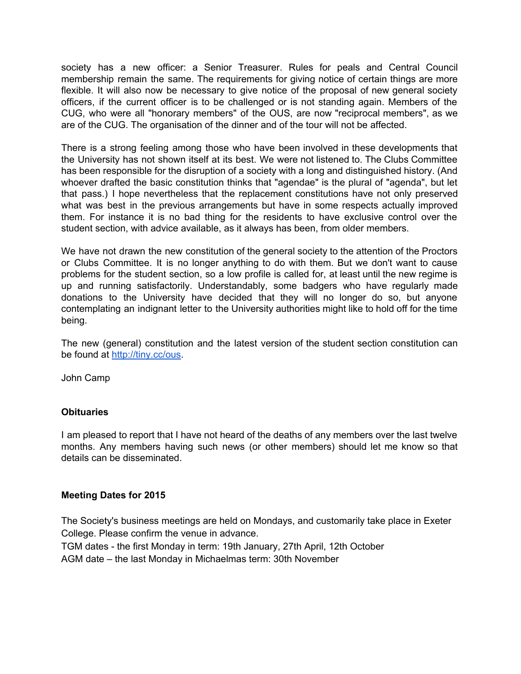society has a new officer: a Senior Treasurer. Rules for peals and Central Council membership remain the same. The requirements for giving notice of certain things are more flexible. It will also now be necessary to give notice of the proposal of new general society officers, if the current officer is to be challenged or is not standing again. Members of the CUG, who were all "honorary members" of the OUS, are now "reciprocal members", as we are of the CUG. The organisation of the dinner and of the tour will not be affected.

There is a strong feeling among those who have been involved in these developments that the University has not shown itself at its best. We were not listened to. The Clubs Committee has been responsible for the disruption of a society with a long and distinguished history. (And whoever drafted the basic constitution thinks that "agendae" is the plural of "agenda", but let that pass.) I hope nevertheless that the replacement constitutions have not only preserved what was best in the previous arrangements but have in some respects actually improved them. For instance it is no bad thing for the residents to have exclusive control over the student section, with advice available, as it always has been, from older members.

We have not drawn the new constitution of the general society to the attention of the Proctors or Clubs Committee. It is no longer anything to do with them. But we don't want to cause problems for the student section, so a low profile is called for, at least until the new regime is up and running satisfactorily. Understandably, some badgers who have regularly made donations to the University have decided that they will no longer do so, but anyone contemplating an indignant letter to the University authorities might like to hold off for the time being.

The new (general) constitution and the latest version of the student section constitution can be found at [http://tiny.cc/ous.](http://www.google.com/url?q=http%3A%2F%2Ftiny.cc%2Fous&sa=D&sntz=1&usg=AFQjCNEBj5uAvITIXfpsK10vb9bQSNDXOw)

John Camp

#### **Obituaries**

I am pleased to report that I have not heard of the deaths of any members over the last twelve months. Any members having such news (or other members) should let me know so that details can be disseminated.

#### **Meeting Dates for 2015**

The Society's business meetings are held on Mondays, and customarily take place in Exeter College. Please confirm the venue in advance.

TGM dates the first Monday in term: 19th January, 27th April, 12th October AGM date – the last Monday in Michaelmas term: 30th November